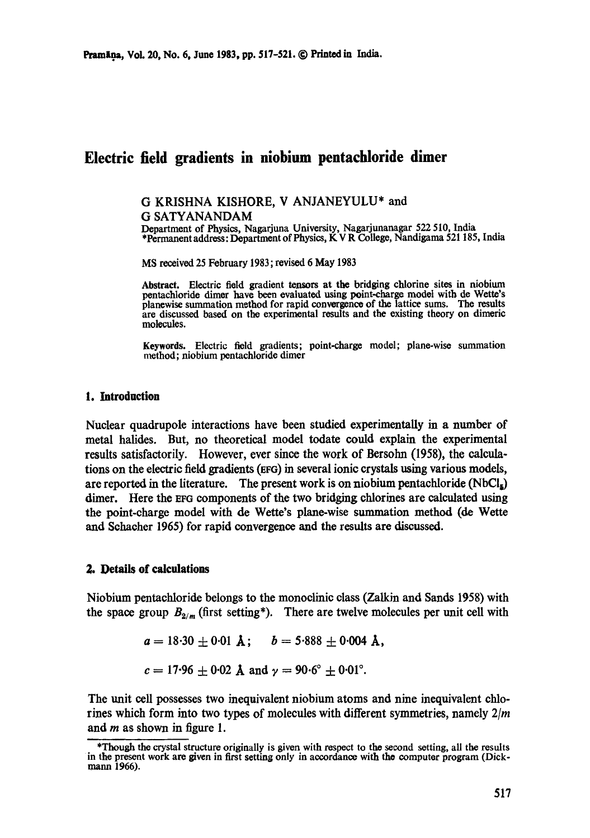# **Electric field gradients in niobium pentachloride dimer**

## **G KRISHNA KISHORE, V** ANJANEYULU\* and

G SATYANANDAM

Department of Physics, Nagarjuna University, Nagarjunanagar 522 510, India \*Permanent address: Department of Physics, K V R College, Nandigama 521 185, India

MS received 25 February 1983; revised 6 May 1983

Abstract. Electric field gradient tensors at the bridging chlorine sites in niobium pontachlorido dimer have been evaluated using point-charge model with de Wetto's planewise summation method for rapid convergence of the lattice sums. The results are discussed based on the experimental results and the existing theory on dimeric molecules.

Keywords. Electric field gradients; point-charge model; plane-wise summation method; niobium pentachloride dimer

#### **1. Introduction**

Nuclear quadrupole interactions have been studied experimentally in a number of metal halides. But, no theoretical model todate could explain the experimental results satisfactorily. However, ever since the work of Bersohn (1958), the calculations on the electric field gradients (EFG) in several ionic crystals using various models, are reported in the literature. The present work is on niobium pentachloride  $(NbCl<sub>n</sub>)$ dimer. Here the EFG components of the two bridging chlorines are calculated using the point-charge model with de Wette's plane-wise summation method (de Wette and Schacher 1965) for rapid convergence and the results are discussed.

### **2. Details of** calculations

Niobium pentachloride belongs to the monoelinic class (Zalkin and Sands 1958) with the space group  $B_{2/m}$  (first setting\*). There are twelve molecules per unit cell with

$$
a = 18.30 \pm 0.01
$$
 Å;  $b = 5.888 \pm 0.004$  Å,

$$
c = 17.96 \pm 0.02
$$
 Å and  $\gamma = 90.6^{\circ} \pm 0.01^{\circ}$ .

The unit cell possesses two inequivalent niobium atoms and nine inequivalent chlorines which form into two types of molecules with different symmetries, namely *2/m*  and m as shown in figure 1.

<sup>\*</sup>Though the crystal structure originally is given with respect to the second setting, all the results in the present work are given in first setting only in accordance with the computer program (Dickmann 1966).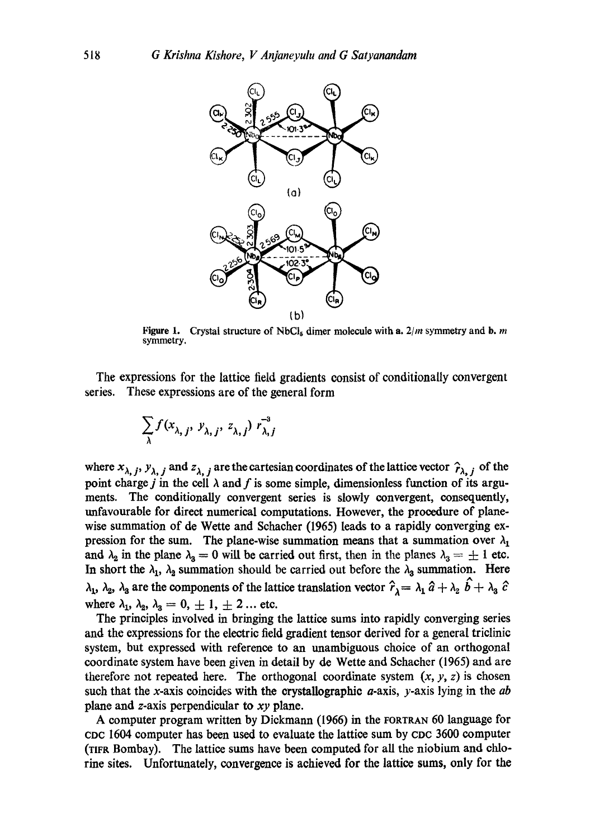

**Figure 1.** Crystal structure of NbCl<sub>5</sub> dimer molecule with a.  $2/m$  symmetry and b. m symmetry.

The expressions for the lattice field gradients consist of conditionally convergent series. These expressions are of the general form

$$
\sum_{\lambda} f(x_{\lambda, j}, y_{\lambda, j}, z_{\lambda, j}) r_{\lambda, j}^{-3}
$$

where  $x_{\lambda, j}$ ,  $y_{\lambda, j}$  and  $z_{\lambda, j}$  are the cartesian coordinates of the lattice vector  $\hat{r}_{\lambda, j}$  of the point charge j in the cell  $\lambda$  and f is some simple, dimensionless function of its arguments. The conditionally convergent series is slowly convergent, consequently, unfavourable for direct numerical computations. However, the procedure of planewise summation of de Wette and Schacher (1965) leads to a rapidly converging expression for the sum. The plane-wise summation means that a summation over  $\lambda_1$ and  $\lambda_2$  in the plane  $\lambda_3 = 0$  will be carried out first, then in the planes  $\lambda_3 = \pm 1$  etc. In short the  $\lambda_1$ ,  $\lambda_2$  summation should be carried out before the  $\lambda_3$  summation. Here  $\lambda_1$ ,  $\lambda_2$ ,  $\lambda_3$  are the components of the lattice translation vector  $\hat{r}_\lambda = \lambda_1 \hat{a} + \lambda_2 \hat{b} + \lambda_3 \hat{c}$ where  $\lambda_1$ ,  $\lambda_2$ ,  $\lambda_3 = 0, \pm 1, \pm 2$ ... etc.

The principles involved in bringing the lattice sums into rapidly converging series and the expressions for the electric field gradient tensor derived for a general triclinic system, but expressed with reference to an unambiguous choice of an orthogonal coordinate system have been given in detail by de Wette and Schacher (1965) and are therefore not repeated here. The orthogonal coordinate system  $(x, y, z)$  is chosen such that the x-axis coincides with the crystallographic a-axis, y-axis lying in the *ab*  plane and z-axis perpendicular to *xy* plane.

A computer program written by Dickmann (1966) in the rOarRAN 60 language for CDC 1604 computer has been used to evaluate the [attice sum by cDc 3600 computer (TIFR Bombay). The lattice sums have been computed for all the niobium and chlorine sites. Unfortunately, convergence is achieved for the lattice sums, only for the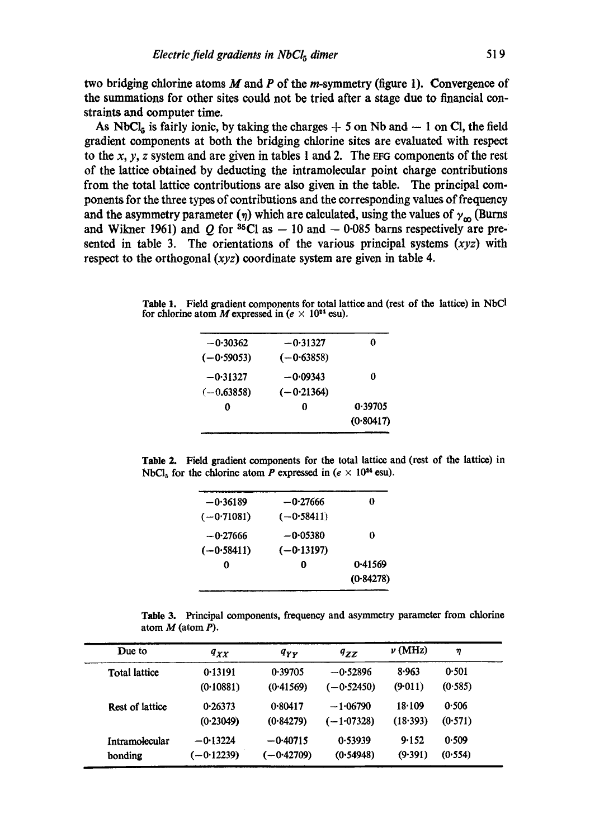two bridging chlorine atoms M and P of the m-symmetry (figure 1). Convergence of the summations for other sites could not be tried after a stage due to financial constraints and computer time.

As NbCl<sub>5</sub> is fairly ionic, by taking the charges  $+$  5 on Nb and  $-$  1 on Cl, the field gradient components at both the bridging chlorine sites are evaluated with respect to the  $x, y, z$  system and are given in tables 1 and 2. The EFG components of the rest of the lattice obtained by deducting the intramolecular point charge contributions from the total lattice contributions are also given in the table. The principal components for the three types of contributions and the corresponding values of frequency and the asymmetry parameter ( $\eta$ ) which are calculated, using the values of  $\gamma_{\rm m}$  (Burns and Wikner 1961) and Q for  ${}^{35}$ Cl as  $-10$  and  $-0.085$  barns respectively are presented in table 3. The orientations of the various principal systems  $(xyz)$  with respect to the orthogonal *(xyz)* coordinate system are given in table 4.

Table 1. Field gradient components for total lattice and (rest of the lattice) in NbCI for chlorine atom M expressed in ( $e \times 10^{24}$  esu).

| $-0.31327$<br>o |                                            |
|-----------------|--------------------------------------------|
|                 |                                            |
| 0               |                                            |
|                 |                                            |
| 0.39705<br>O    |                                            |
| (0.80417)       |                                            |
|                 | $(-0.63858)$<br>$-0.09343$<br>$(-0.21364)$ |

Table 2. Field gradient components for the total lattice and (rest of the lattice) in NbCl<sub>5</sub> for the chlorine atom P expressed in ( $e \times 10^{24}$  esu).

| $-0.36189$   | $-0.27666$   | 0         |
|--------------|--------------|-----------|
| $(-0.71081)$ | $(-0.58411)$ |           |
| $-0.27666$   | $-0.05380$   | 0         |
| $(-0.58411)$ | $(-0.13197)$ |           |
| 0            | O            | 0.41569   |
|              |              | (0.84278) |
|              |              |           |

Table 3. Principal components, frequency and asymmetry parameter from chlorine atom M (atom P).

| Due to               | $q_{XX}$     | $q_{YY}$     | $q_{ZZ}$     | $\nu$ (MHz) | η       |
|----------------------|--------------|--------------|--------------|-------------|---------|
| <b>Total lattice</b> | 0.13191      | 0.39705      | $-0.52896$   | 8.963       | 0.501   |
|                      | (0.10881)    | (0.41569)    | $(-0.52450)$ | (9.011)     | (0.585) |
| Rest of lattice      | 0.26373      | 0.80417      | $-1.06790$   | 18.109      | 0.506   |
|                      | (0.23049)    | (0.84279)    | $(-1.07328)$ | (18.393)    | (0.571) |
| Intramolecular       | $-0.13224$   | $-0.40715$   | 0.53939      | 9.152       | 0.509   |
| bonding              | $(-0.12239)$ | $(-0.42709)$ | (0.54948)    | (9.391)     | (0.554) |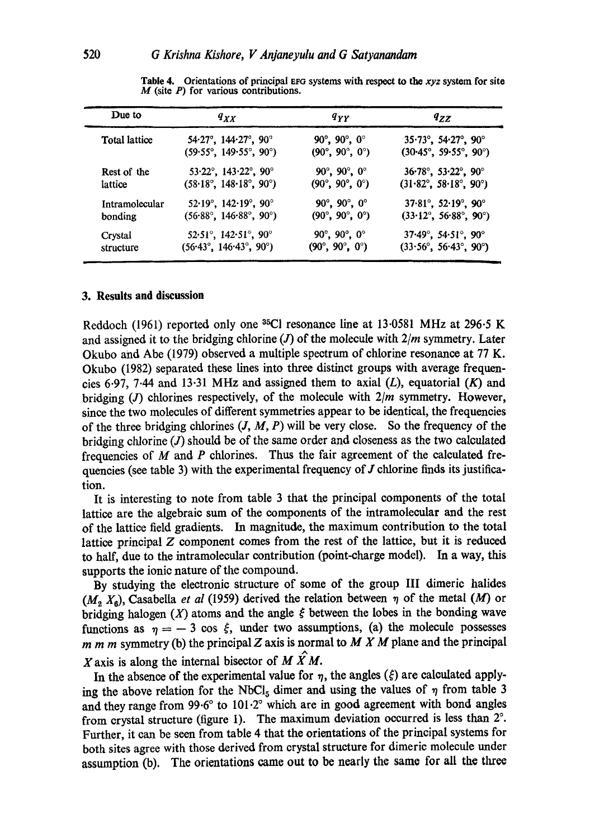| Due to               | $q_{XX}$                                          | $q_{YY}$                                     | $q_{ZZ}$                                         |  |
|----------------------|---------------------------------------------------|----------------------------------------------|--------------------------------------------------|--|
| <b>Total lattice</b> | $54.27^{\circ}$ , $144.27^{\circ}$ , $90^{\circ}$ | 90 $^{\circ}$ , 90 $^{\circ}$ , 0 $^{\circ}$ | $35.73^{\circ}$ , $54.27^{\circ}$ , $90^{\circ}$ |  |
|                      | $(59.55^{\circ}, 149.55^{\circ}, 90^{\circ})$     | $(90^\circ, 90^\circ, 0^\circ)$              | $(30.45^{\circ}, 59.55^{\circ}, 90^{\circ})$     |  |
| Rest of the          | 53.22°, 143.22°, 90°                              | $90^{\circ}$ , $90^{\circ}$ , $0^{\circ}$    | $36.78^{\circ}$ , $53.22^{\circ}$ , $90^{\circ}$ |  |
| lattice              | $(58.18^{\circ}, 148.18^{\circ}, 90^{\circ})$     | $(90^\circ, 90^\circ, 0^\circ)$              | $(31.82^{\circ}, 58.18^{\circ}, 90^{\circ})$     |  |
| Intramolecular       | $52.19^{\circ}$ , $142.19^{\circ}$ , $90^{\circ}$ | 90 $^{\circ}$ , 90 $^{\circ}$ , 0 $^{\circ}$ | $37.81^{\circ}$ , $52.19^{\circ}$ , $90^{\circ}$ |  |
| bonding              | $(56.88^{\circ}, 146.88^{\circ}, 90^{\circ})$     | $(90^\circ, 90^\circ, 0^\circ)$              | $(33.12^{\circ}, 56.88^{\circ}, 90^{\circ})$     |  |
| Crystal              | $52.51^{\circ}$ , $142.51^{\circ}$ , $90^{\circ}$ | $90^\circ, 90^\circ, 0^\circ$                | $37.49^{\circ}$ , $54.51^{\circ}$ , $90^{\circ}$ |  |
| structure            | $(56.43^{\circ}, 146.43^{\circ}, 90^{\circ})$     | $(90^\circ, 90^\circ, 0^\circ)$              | $(33.56^{\circ}, 56.43^{\circ}, 90^{\circ})$     |  |

Table 4. Orientations of principal EFG systems with respect to the *xyz* system for site  $M$  (site  $P$ ) for various contributions.

### **3. Results and discussion**

Reddoch (1961) reported only one  ${}^{35}$ Cl resonance line at 13.0581 MHz at 296.5 K and assigned it to the bridging chlorine (J) of the molecule with *2/m* symmetry. Later Okubo and Abe (1979) observed a multiple spectrum of chlorine resonance at 77 K. Okubo (1982) separated these lines into three distinct groups with average frequencies 6.97, 7.44 and 13.31 MHz and assigned them to axial  $(L)$ , equatorial  $(K)$  and bridging (J) chlorines respectively, of the molecule with *2/m* symmetry. However, since the two molecules of different symmetries appear to be identical, the frequencies of the three bridging chlorines  $(J, M, P)$  will be very close. So the frequency of the bridging chlorine  $(J)$  should be of the same order and closeness as the two calculated frequencies of  $M$  and  $P$  chlorines. Thus the fair agreement of the calculated frequencies (see table 3) with the experimental frequency of  $J$  chlorine finds its justification.

It is interesting to note from table 3 that the principal components of the total lattice are the algebraic sum of the components of the intramoleeular and the rest of the lattice field gradients. In magnitude, the maximum contribution to the total lattice principal Z component comes from the rest of the lattice, but it is reduced to haft, due to the intramoleeular contribution (point-charge model). In a way, this supports the ionic nature of the compound.

By studying the electronic structure of some of the group III dimerie halides  $(M_2, X_6)$ , Casabella *et al* (1959) derived the relation between  $\eta$  of the metal (M) or bridging halogen  $(X)$  atoms and the angle  $\xi$  between the lobes in the bonding wave functions as  $\eta = -3 \cos \xi$ , under two assumptions, (a) the molecule possesses m m m symmetry (b) the principal Z axis is normal to M X M plane and the principal X axis is along the internal bisector of M  $\hat{X}$ M.

In the absence of the experimental value for  $\eta$ , the angles ( $\xi$ ) are calculated applying the above relation for the NbCl<sub>5</sub> dimer and using the values of  $\eta$  from table 3 and they range from  $99.6^{\circ}$  to  $101.2^{\circ}$  which are in good agreement with bond angles from crystal structure (figure 1). The maximum deviation occurred is less than  $2^\circ$ . Further, it can be seen from table 4 that the orientations of the principal systems for both sites agree with those derived from crystal structure for dimerie molecule under assumption (b). The orientations came out to be nearly the same for all the three